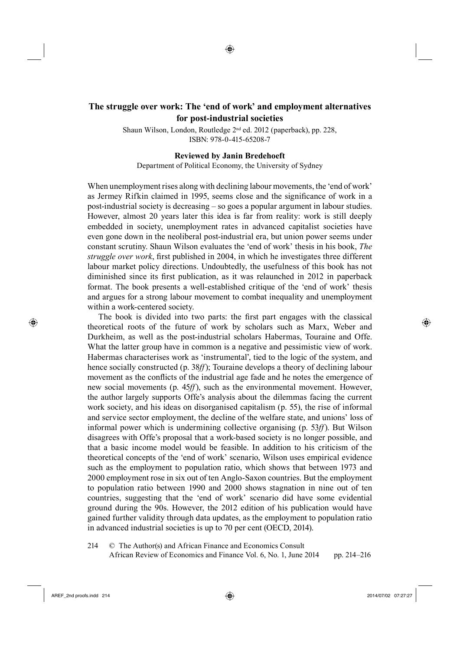## <sup>16</sup>**The struggle over work: The 'end of work' and employment alternatives for post-industrial societies**

◈

Shaun Wilson, London, Routledge 2nd ed. 2012 (paperback), pp. 228, ISBN: 978-0-415-65208-7

## **Reviewed by Janin Bredehoeft**

Department of Political Economy, the University of Sydney

When unemployment rises along with declining labour movements, the 'end of work' as Jermey Rifkin claimed in 1995, seems close and the significance of work in a post-industrial society is decreasing – so goes a popular argument in labour studies. However, almost 20 years later this idea is far from reality: work is still deeply embedded in society, unemployment rates in advanced capitalist societies have even gone down in the neoliberal post-industrial era, but union power seems under constant scrutiny. Shaun Wilson evaluates the 'end of work' thesis in his book, *The struggle over work*, first published in 2004, in which he investigates three different labour market policy directions. Undoubtedly, the usefulness of this book has not diminished since its first publication, as it was relaunched in 2012 in paperback format. The book presents a well-established critique of the 'end of work' thesis and argues for a strong labour movement to combat inequality and unemployment within a work-centered society.

The book is divided into two parts: the first part engages with the classical theoretical roots of the future of work by scholars such as Marx, Weber and Durkheim, as well as the post-industrial scholars Habermas, Touraine and Offe. What the latter group have in common is a negative and pessimistic view of work. Habermas characterises work as 'instrumental', tied to the logic of the system, and hence socially constructed (p. 38*ff*); Touraine develops a theory of declining labour movement as the conflicts of the industrial age fade and he notes the emergence of new social movements (p. 45*ff*), such as the environmental movement. However, the author largely supports Offe's analysis about the dilemmas facing the current work society, and his ideas on disorganised capitalism (p. 55), the rise of informal and service sector employment, the decline of the welfare state, and unions' loss of informal power which is undermining collective organising (p. 53*ff*). But Wilson disagrees with Offe's proposal that a work-based society is no longer possible, and that a basic income model would be feasible. In addition to his criticism of the theoretical concepts of the 'end of work' scenario, Wilson uses empirical evidence such as the employment to population ratio, which shows that between 1973 and 2000 employment rose in six out of ten Anglo-Saxon countries. But the employment to population ratio between 1990 and 2000 shows stagnation in nine out of ten countries, suggesting that the 'end of work' scenario did have some evidential ground during the 90s. However, the 2012 edition of his publication would have gained further validity through data updates, as the employment to population ratio in advanced industrial societies is up to 70 per cent (OECD, 2014).

214 © The Author(s) and African Finance and Economics Consult African Review of Economics and Finance Vol. 6, No. 1, June 2014 pp. 214–216

⊕

⊕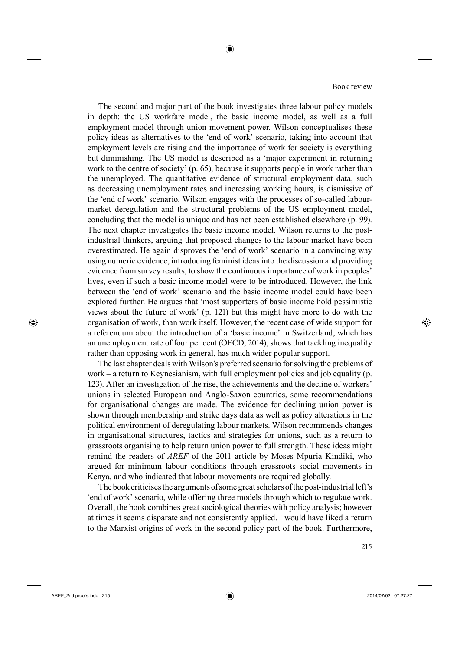Book review

The second and major part of the book investigates three labour policy models in depth: the US workfare model, the basic income model, as well as a full employment model through union movement power. Wilson conceptualises these policy ideas as alternatives to the 'end of work' scenario, taking into account that employment levels are rising and the importance of work for society is everything but diminishing. The US model is described as a 'major experiment in returning work to the centre of society' (p. 65), because it supports people in work rather than the unemployed. The quantitative evidence of structural employment data, such as decreasing unemployment rates and increasing working hours, is dismissive of the 'end of work' scenario. Wilson engages with the processes of so-called labourmarket deregulation and the structural problems of the US employment model, concluding that the model is unique and has not been established elsewhere (p. 99). The next chapter investigates the basic income model. Wilson returns to the postindustrial thinkers, arguing that proposed changes to the labour market have been overestimated. He again disproves the 'end of work' scenario in a convincing way using numeric evidence, introducing feminist ideas into the discussion and providing evidence from survey results, to show the continuous importance of work in peoples' lives, even if such a basic income model were to be introduced. However, the link between the 'end of work' scenario and the basic income model could have been explored further. He argues that 'most supporters of basic income hold pessimistic views about the future of work' (p. 121) but this might have more to do with the organisation of work, than work itself. However, the recent case of wide support for a referendum about the introduction of a 'basic income' in Switzerland, which has an unemployment rate of four per cent (OECD, 2014), shows that tackling inequality rather than opposing work in general, has much wider popular support.

The last chapter deals with Wilson's preferred scenario for solving the problems of work – a return to Keynesianism, with full employment policies and job equality (p. 123). After an investigation of the rise, the achievements and the decline of workers' unions in selected European and Anglo-Saxon countries, some recommendations for organisational changes are made. The evidence for declining union power is shown through membership and strike days data as well as policy alterations in the political environment of deregulating labour markets. Wilson recommends changes in organisational structures, tactics and strategies for unions, such as a return to grassroots organising to help return union power to full strength. These ideas might remind the readers of *AREF* of the 2011 article by Moses Mpuria Kindiki, who argued for minimum labour conditions through grassroots social movements in Kenya, and who indicated that labour movements are required globally.

296The book criticises the arguments of some great scholars of the post-industrial left's 'end of work' scenario, while offering three models through which to regulate work. Overall, the book combines great sociological theories with policy analysis; however at times it seems disparate and not consistently applied. I would have liked a return to the Marxist origins of work in the second policy part of the book. Furthermore,

◈

⊕

⊕